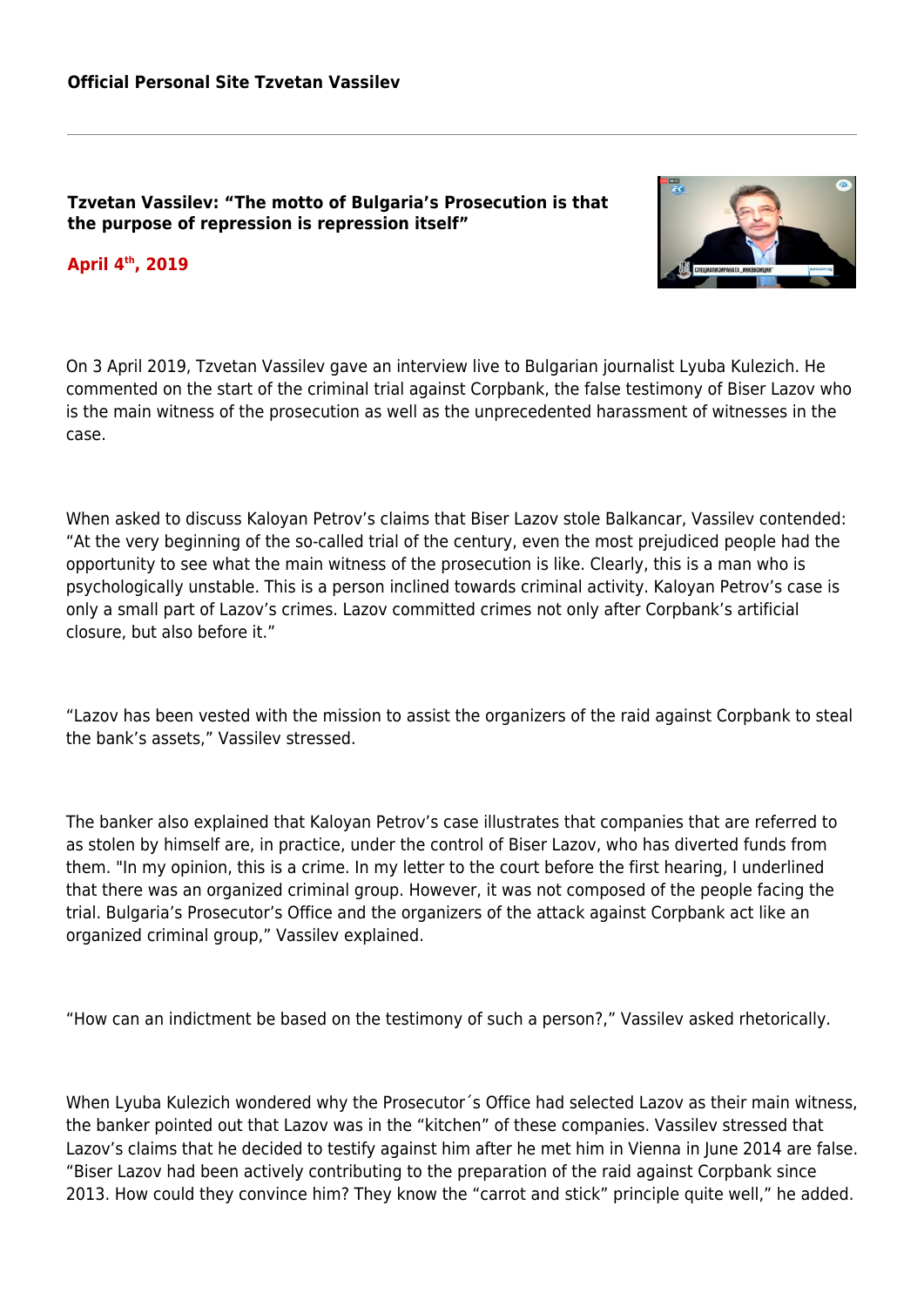## **Tzvetan Vassilev: "The motto of Bulgaria's Prosecution is that the purpose of repression is repression itself"**

## **April 4th, 2019**



On 3 April 2019, Tzvetan Vassilev gave an interview live to Bulgarian journalist Lyuba Kulezich. He commented on the start of the criminal trial against Corpbank, the false testimony of Biser Lazov who is the main witness of the prosecution as well as the unprecedented harassment of witnesses in the case.

When asked to discuss Kaloyan Petrov's claims that Biser Lazov stole Balkancar, Vassilev contended: "At the very beginning of the so-called trial of the century, even the most prejudiced people had the opportunity to see what the main witness of the prosecution is like. Clearly, this is a man who is psychologically unstable. This is a person inclined towards criminal activity. Kaloyan Petrov's case is only a small part of Lazov's crimes. Lazov committed crimes not only after Corpbank's artificial closure, but also before it."

"Lazov has been vested with the mission to assist the organizers of the raid against Corpbank to steal the bank's assets," Vassilev stressed.

The banker also explained that Kaloyan Petrov's case illustrates that companies that are referred to as stolen by himself are, in practice, under the control of Biser Lazov, who has diverted funds from them. "In my opinion, this is a crime. In my letter to the court before the first hearing, I underlined that there was an organized criminal group. However, it was not composed of the people facing the trial. Bulgaria's Prosecutor's Office and the organizers of the attack against Corpbank act like an organized criminal group," Vassilev explained.

"How can an indictment be based on the testimony of such a person?," Vassilev asked rhetorically.

When Lyuba Kulezich wondered why the Prosecutor´s Office had selected Lazov as their main witness, the banker pointed out that Lazov was in the "kitchen" of these companies. Vassilev stressed that Lazov's claims that he decided to testify against him after he met him in Vienna in June 2014 are false. "Biser Lazov had been actively contributing to the preparation of the raid against Corpbank since 2013. How could they convince him? They know the "carrot and stick" principle quite well," he added.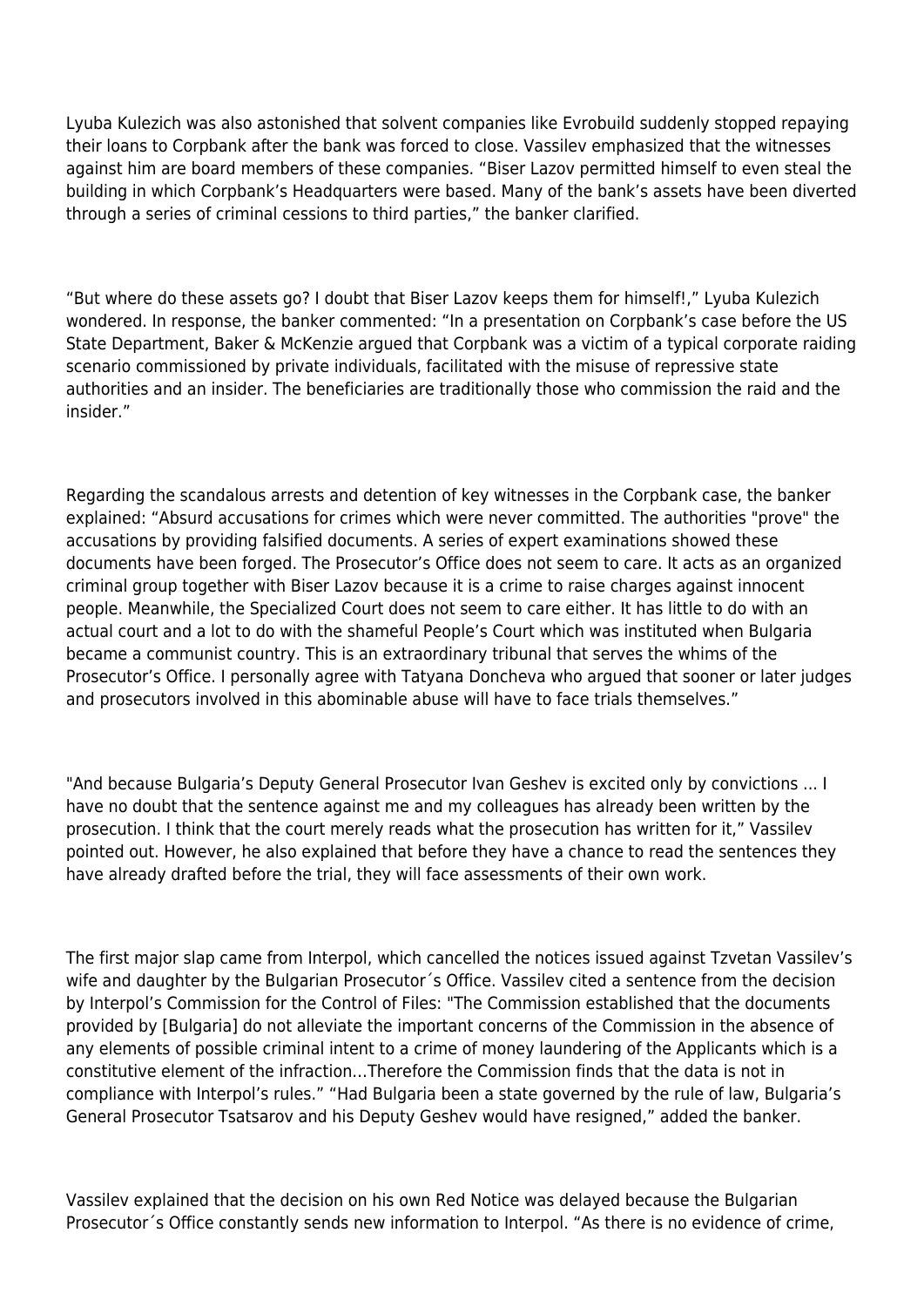Lyuba Kulezich was also astonished that solvent companies like Evrobuild suddenly stopped repaying their loans to Corpbank after the bank was forced to close. Vassilev emphasized that the witnesses against him are board members of these companies. "Biser Lazov permitted himself to even steal the building in which Corpbank's Headquarters were based. Many of the bank's assets have been diverted through a series of criminal cessions to third parties," the banker clarified.

"But where do these assets go? I doubt that Biser Lazov keeps them for himself!," Lyuba Kulezich wondered. In response, the banker commented: "In a presentation on Corpbank's case before the US State Department, Baker & McKenzie argued that Corpbank was a victim of a typical corporate raiding scenario commissioned by private individuals, facilitated with the misuse of repressive state authorities and an insider. The beneficiaries are traditionally those who commission the raid and the insider."

Regarding the scandalous arrests and detention of key witnesses in the Corpbank case, the banker explained: "Absurd accusations for crimes which were never committed. The authorities "prove" the accusations by providing falsified documents. A series of expert examinations showed these documents have been forged. The Prosecutor's Office does not seem to care. It acts as an organized criminal group together with Biser Lazov because it is a crime to raise charges against innocent people. Meanwhile, the Specialized Court does not seem to care either. It has little to do with an actual court and a lot to do with the shameful People's Court which was instituted when Bulgaria became a communist country. This is an extraordinary tribunal that serves the whims of the Prosecutor's Office. I personally agree with Tatyana Doncheva who argued that sooner or later judges and prosecutors involved in this abominable abuse will have to face trials themselves."

"And because Bulgaria's Deputy General Prosecutor Ivan Geshev is excited only by convictions ... I have no doubt that the sentence against me and my colleagues has already been written by the prosecution. I think that the court merely reads what the prosecution has written for it," Vassilev pointed out. However, he also explained that before they have a chance to read the sentences they have already drafted before the trial, they will face assessments of their own work.

The first major slap came from Interpol, which cancelled the notices issued against Tzvetan Vassilev's wife and daughter by the Bulgarian Prosecutor´s Office. Vassilev cited a sentence from the decision by Interpol's Commission for the Control of Files: "The Commission established that the documents provided by [Bulgaria] do not alleviate the important concerns of the Commission in the absence of any elements of possible criminal intent to a crime of money laundering of the Applicants which is a constitutive element of the infraction…Therefore the Commission finds that the data is not in compliance with Interpol's rules." "Had Bulgaria been a state governed by the rule of law, Bulgaria's General Prosecutor Tsatsarov and his Deputy Geshev would have resigned," added the banker.

Vassilev explained that the decision on his own Red Notice was delayed because the Bulgarian Prosecutor´s Office constantly sends new information to Interpol. "As there is no evidence of crime,